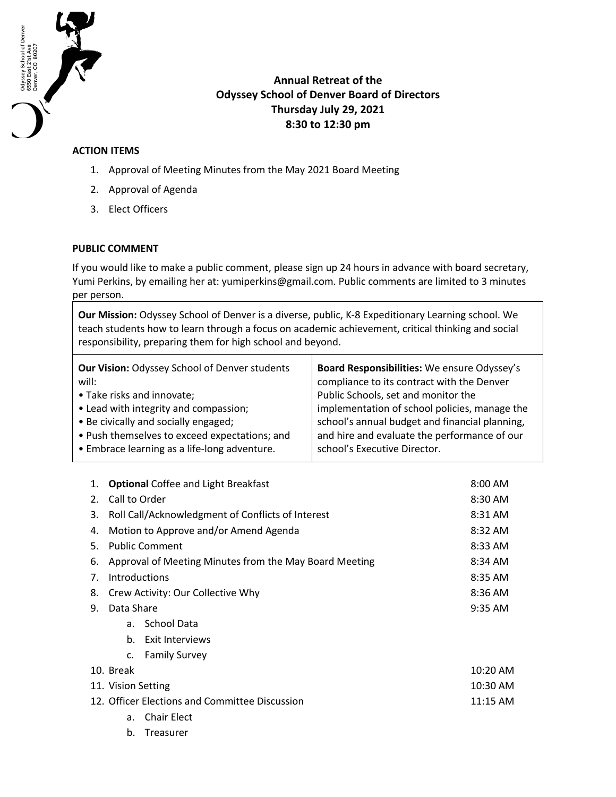

## **Annual Retreat of the Odyssey School of Denver Board of Directors Thursday July 29, 2021 8:30 to 12:30 pm**

## **ACTION ITEMS**

- 1. Approval of Meeting Minutes from the May 2021 Board Meeting
- 2. Approval of Agenda
- 3. Elect Officers

## **PUBLIC COMMENT**

If you would like to make a public comment, please sign up 24 hours in advance with board secretary, Yumi Perkins, by emailing her at: yumiperkins@gmail.com. Public comments are limited to 3 minutes per person.

**Our Mission:** Odyssey School of Denver is a diverse, public, K-8 Expeditionary Learning school. We teach students how to learn through a focus on academic achievement, critical thinking and social responsibility, preparing them for high school and beyond.

| <b>Our Vision: Odyssey School of Denver students</b> | Board Responsibilities: We ensure Odyssey's    |
|------------------------------------------------------|------------------------------------------------|
| will:                                                | compliance to its contract with the Denver     |
| • Take risks and innovate;                           | Public Schools, set and monitor the            |
| • Lead with integrity and compassion;                | implementation of school policies, manage the  |
| • Be civically and socially engaged;                 | school's annual budget and financial planning, |
| • Push themselves to exceed expectations; and        | and hire and evaluate the performance of our   |
| • Embrace learning as a life-long adventure.         | school's Executive Director.                   |

| 1.                                             | <b>Optional Coffee and Light Breakfast</b> |                                                        | 8:00 AM   |
|------------------------------------------------|--------------------------------------------|--------------------------------------------------------|-----------|
| 2.                                             | Call to Order                              |                                                        | 8:30 AM   |
| 3.                                             |                                            | Roll Call/Acknowledgment of Conflicts of Interest      | 8:31 AM   |
| 4.                                             |                                            | Motion to Approve and/or Amend Agenda                  | 8:32 AM   |
| 5.                                             | <b>Public Comment</b>                      |                                                        | 8:33 AM   |
| 6.                                             |                                            | Approval of Meeting Minutes from the May Board Meeting | $8:34$ AM |
| 7.                                             | Introductions                              |                                                        | 8:35 AM   |
| 8.                                             |                                            | Crew Activity: Our Collective Why                      | 8:36 AM   |
| 9.                                             | Data Share                                 |                                                        | 9:35 AM   |
|                                                | a.                                         | <b>School Data</b>                                     |           |
|                                                | b.                                         | Exit Interviews                                        |           |
|                                                | $\mathsf{C}$ .                             | <b>Family Survey</b>                                   |           |
|                                                | 10. Break                                  |                                                        | 10:20 AM  |
|                                                | 11. Vision Setting                         |                                                        | 10:30 AM  |
| 12. Officer Elections and Committee Discussion |                                            |                                                        | 11:15 AM  |
|                                                | a.                                         | <b>Chair Elect</b>                                     |           |
|                                                | b.                                         | Treasurer                                              |           |